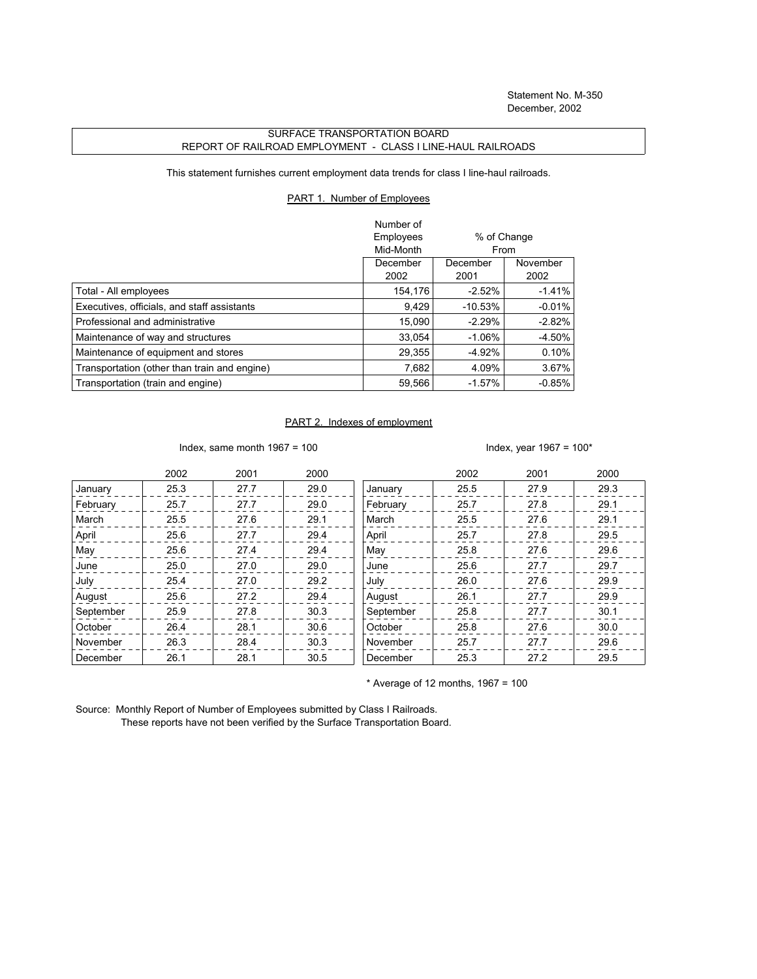## SURFACE TRANSPORTATION BOARD REPORT OF RAILROAD EMPLOYMENT - CLASS I LINE-HAUL RAILROADS

This statement furnishes current employment data trends for class I line-haul railroads.

## PART 1. Number of Employees

|                                              | Number of<br>Employees | % of Change |          |
|----------------------------------------------|------------------------|-------------|----------|
|                                              | Mid-Month              | From        |          |
|                                              | December               | December    | November |
|                                              | 2002                   | 2001        | 2002     |
| Total - All employees                        | 154,176                | $-2.52%$    | $-1.41%$ |
| Executives, officials, and staff assistants  | 9.429                  | $-10.53%$   | $-0.01%$ |
| Professional and administrative              | 15.090                 | $-2.29%$    | $-2.82%$ |
| Maintenance of way and structures            | 33.054                 | $-1.06\%$   | -4.50%   |
| Maintenance of equipment and stores          | 29,355                 | $-4.92%$    | 0.10%    |
| Transportation (other than train and engine) | 7,682                  | 4.09%       | 3.67%    |
| Transportation (train and engine)            | 59,566                 | $-1.57%$    | $-0.85%$ |

## PART 2. Indexes of employment

Index, same month 1967 = 100  $\blacksquare$ 

|           | 2002 | 2001 | 2000 |           | 2002 | 2001 | 2000 |
|-----------|------|------|------|-----------|------|------|------|
| January   | 25.3 | 27.7 | 29.0 | January   | 25.5 | 27.9 | 29.3 |
| February  | 25.7 | 27.7 | 29.0 | February  | 25.7 | 27.8 | 29.1 |
| March     | 25.5 | 27.6 | 29.1 | March     | 25.5 | 27.6 | 29.1 |
| April     | 25.6 | 27.7 | 29.4 | April     | 25.7 | 27.8 | 29.5 |
| May       | 25.6 | 27.4 | 29.4 | May       | 25.8 | 27.6 | 29.6 |
| June      | 25.0 | 27.0 | 29.0 | June      | 25.6 | 27.7 | 29.7 |
| July      | 25.4 | 27.0 | 29.2 | July      | 26.0 | 27.6 | 29.9 |
| August    | 25.6 | 27.2 | 29.4 | August    | 26.1 | 27.7 | 29.9 |
| September | 25.9 | 27.8 | 30.3 | September | 25.8 | 27.7 | 30.1 |
| October   | 26.4 | 28.1 | 30.6 | October   | 25.8 | 27.6 | 30.0 |
| November  | 26.3 | 28.4 | 30.3 | November  | 25.7 | 27.7 | 29.6 |
| December  | 26.1 | 28.1 | 30.5 | December  | 25.3 | 27.2 | 29.5 |

 $*$  Average of 12 months, 1967 = 100

Source: Monthly Report of Number of Employees submitted by Class I Railroads. These reports have not been verified by the Surface Transportation Board.